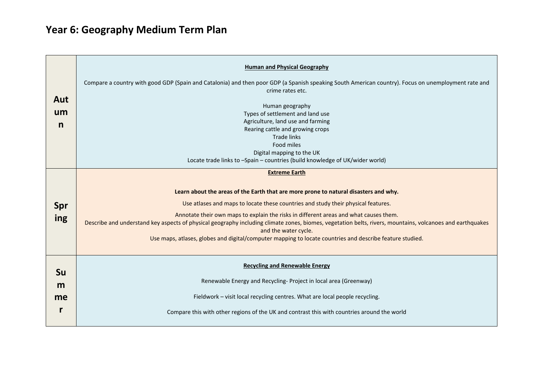## **Year 6: Geography Medium Term Plan**

| Aut<br>um<br>n       | <b>Human and Physical Geography</b><br>Compare a country with good GDP (Spain and Catalonia) and then poor GDP (a Spanish speaking South American country). Focus on unemployment rate and<br>crime rates etc.<br>Human geography<br>Types of settlement and land use<br>Agriculture, land use and farming<br>Rearing cattle and growing crops<br><b>Trade links</b><br>Food miles<br>Digital mapping to the UK<br>Locate trade links to -Spain - countries (build knowledge of UK/wider world)                                                                                             |
|----------------------|---------------------------------------------------------------------------------------------------------------------------------------------------------------------------------------------------------------------------------------------------------------------------------------------------------------------------------------------------------------------------------------------------------------------------------------------------------------------------------------------------------------------------------------------------------------------------------------------|
| Spr<br>ing           | <b>Extreme Earth</b><br>Learn about the areas of the Earth that are more prone to natural disasters and why.<br>Use atlases and maps to locate these countries and study their physical features.<br>Annotate their own maps to explain the risks in different areas and what causes them.<br>Describe and understand key aspects of physical geography including climate zones, biomes, vegetation belts, rivers, mountains, volcanoes and earthquakes<br>and the water cycle.<br>Use maps, atlases, globes and digital/computer mapping to locate countries and describe feature studied. |
| <b>Su</b><br>m<br>me | <b>Recycling and Renewable Energy</b><br>Renewable Energy and Recycling- Project in local area (Greenway)<br>Fieldwork - visit local recycling centres. What are local people recycling.<br>Compare this with other regions of the UK and contrast this with countries around the world                                                                                                                                                                                                                                                                                                     |